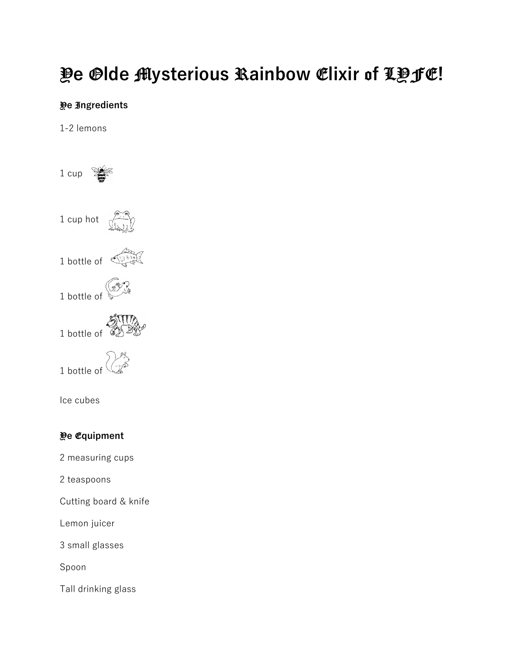## Y**e** O**lde** M**ysterious** R**ainbow** E**lixir** o**f** LYFE**!**

## Y**e** I**ngredients**

1-2 lemons

1 cup  $\mathcal{F}$ 1 cup hot Away 1 bottle of  $\overbrace{\hspace{2.5cm}}^{3333}$ 1 bottle of  $\mathbb{Z}$ **ATTIA**<br>1 bottle of **ABY** 1 bottle of  $\mathbb{Z}^3$ 

Ice cubes

## Y**e** E**quipment**

2 measuring cups

2 teaspoons

Cutting board & knife

Lemon juicer

3 small glasses

Spoon

Tall drinking glass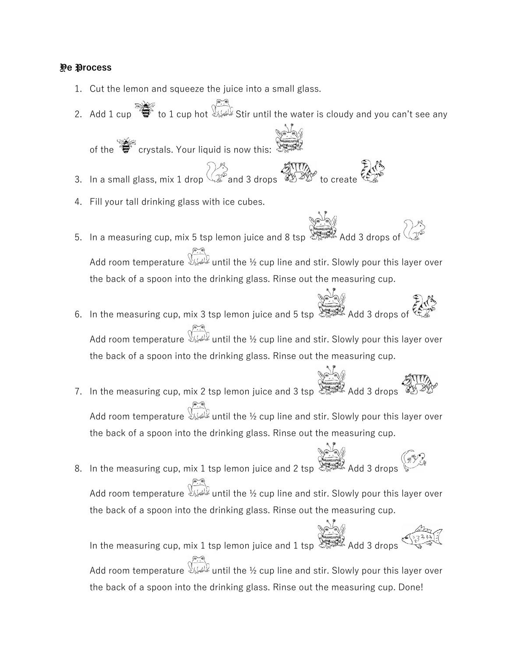## Y**e** P**rocess**

- 1. Cut the lemon and squeeze the juice into a small glass.
- 2. Add 1 cup  $\sum_{i=1}^{\infty}$  to 1 cup hot Stir until the water is cloudy and you can't see any

of the  $\sum_{n=1}^{\infty}$  crystals. Your liquid is now this:

- 3. In a small glass, mix 1 drop  $\sum_{n=1}^{\infty}$  and 3 drops  $\sum_{n=1}^{\infty}$  to create  $\epsilon$
- 4. Fill your tall drinking glass with ice cubes.
- ة<br>5. In a measuring cup, mix 5 tsp lemon juice and 8 tsp  $\overbrace{\text{exp}}^{\text{max}}$  Add 3 drops of Add room temperature  $\lim_{k\to\infty}$  until the ½ cup line and stir. Slowly pour this layer over the back of a spoon into the drinking glass. Rinse out the measuring cup.
- 6. In the measuring cup, mix 3 tsp lemon juice and 5 tsp  $\begin{matrix} \mathbb{R}^4 \rightarrow \mathbb{R}^6 \rightarrow \mathbb{R}^6 \rightarrow \mathbb{R}^6 \rightarrow \mathbb{R}^6 \rightarrow \mathbb{R}^6 \rightarrow \mathbb{R}^6 \rightarrow \mathbb{R}^6 \rightarrow \mathbb{R}^6 \rightarrow \mathbb{R}^6 \rightarrow \mathbb{R}^6 \rightarrow \mathbb{R}^6 \rightarrow \mathbb{R}^6 \rightarrow \mathbb{R}^6 \rightarrow \mathbb{R}^6 \rightarrow \mathbb{R}^6$ Add room temperature  $\lim_{k\to\infty}$  until the ½ cup line and stir. Slowly pour this layer over the back of a spoon into the drinking glass. Rinse out the measuring cup.
- 7. In the measuring cup, mix 2 tsp lemon juice and 3 tsp  $\begin{matrix} \mathbb{R}^3 \\ \mathbb{R}^3 \end{matrix}$  Add 3 drops Add room temperature  $\mathbb{W}^{\mathbb{Z}}$  until the ½ cup line and stir. Slowly pour this layer over the back of a spoon into the drinking glass. Rinse out the measuring cup.
- 8. In the measuring cup, mix 1 tsp lemon juice and 2 tsp Add 3 drops Add room temperature  $\overline{\mathbb{Q}}$  until the ½ cup line and stir. Slowly pour this layer over the back of a spoon into the drinking glass. Rinse out the measuring cup.